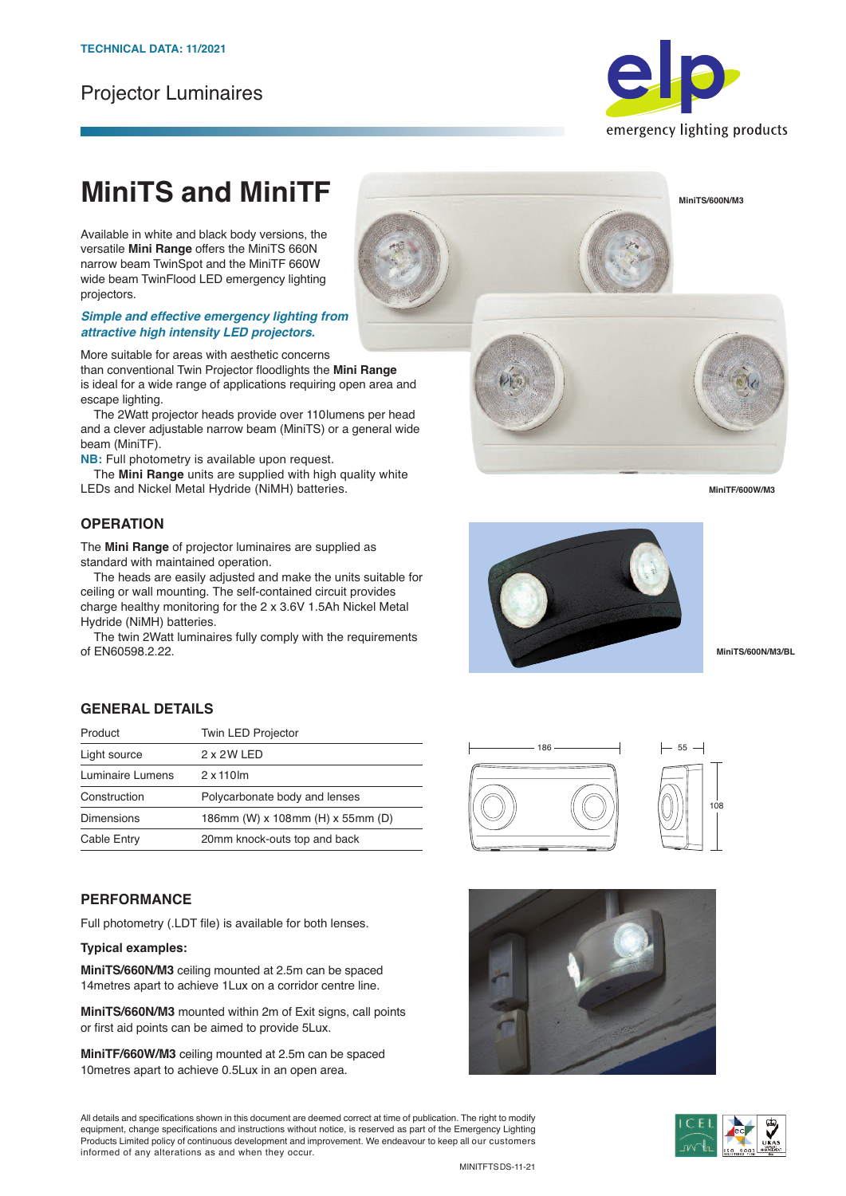# Projector Luminaires



# **MiniTS and MiniTF**

Available in white and black body versions, the versatile **Mini Range** offers the MiniTS 660N narrow beam TwinSpot and the MiniTF 660W wide beam TwinFlood LED emergency lighting projectors.

#### *Simple and effective emergency lighting from attractive high intensity LED projectors.*

More suitable for areas with aesthetic concerns

than conventional Twin Projector floodlights the **Mini Range** is ideal for a wide range of applications requiring open area and escape lighting.

 The 2Watt projector heads provide over 110lumens per head and a clever adjustable narrow beam (MiniTS) or a general wide beam (MiniTF).

**NB:** Full photometry is available upon request.

 The **Mini Range** units are supplied with high quality white LEDs and Nickel Metal Hydride (NiMH) batteries.

# **OPERATION**

The **Mini Range** of projector luminaires are supplied as standard with maintained operation.

The heads are easily adjusted and make the units suitable for ceiling or wall mounting. The self-contained circuit provides charge healthy monitoring for the 2 x 3.6V 1.5Ah Nickel Metal Hydride (NiMH) batteries.

The twin 2Watt luminaires fully comply with the requirements of EN60598.2.22.

## **GENERAL DETAILS**

| <b>Twin LED Projector</b>        |
|----------------------------------|
| 2 x 2 W LED                      |
| $2 \times 110$ lm                |
| Polycarbonate body and lenses    |
| 186mm (W) x 108mm (H) x 55mm (D) |
| 20mm knock-outs top and back     |
|                                  |

### **PERFORMANCE**

Full photometry (.LDT file) is available for both lenses.

#### **Typical examples:**

**MiniTS/660N/M3** ceiling mounted at 2.5m can be spaced 14metres apart to achieve 1Lux on a corridor centre line.

**MiniTS/660N/M3** mounted within 2m of Exit signs, call points or first aid points can be aimed to provide 5Lux.

**MiniTF/660W/M3** ceiling mounted at 2.5m can be spaced 10metres apart to achieve 0.5Lux in an open area.

All details and specifications shown in this document are deemed correct at time of publication. The right to modify equipment, change specifications and instructions without notice, is reserved as part of the Emergency Lighting Products Limited policy of continuous development and improvement. We endeavour to keep all our customers informed of any alterations as and when they occur.



186

**MiniTS/600N/M3/BL**

 $-55 -$ 

108



**MiniTS/600N/M3**